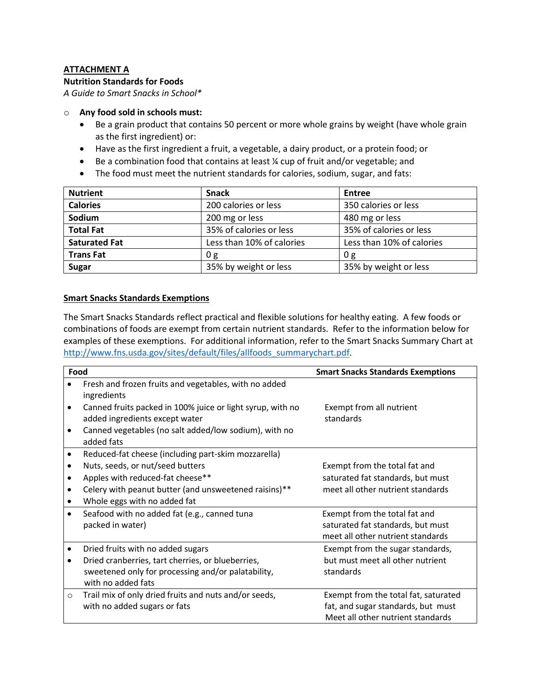# **ATTACHMENT A**

## **Nutrition Standards for Foods**

*A Guide to Smart Snacks in School\**

### o **Any food sold in schools must:**

- Be a grain product that contains 50 percent or more whole grains by weight (have whole grain as the first ingredient) or:
- Have as the first ingredient a fruit, a vegetable, a dairy product, or a protein food; or
- Be a combination food that contains at least ¼ cup of fruit and/or vegetable; and
- The food must meet the nutrient standards for calories, sodium, sugar, and fats:

| <b>Nutrient</b>      | <b>Snack</b>              | <b>Entree</b>             |
|----------------------|---------------------------|---------------------------|
| <b>Calories</b>      | 200 calories or less      | 350 calories or less      |
| Sodium               | 200 mg or less            | 480 mg or less            |
| <b>Total Fat</b>     | 35% of calories or less   | 35% of calories or less   |
| <b>Saturated Fat</b> | Less than 10% of calories | Less than 10% of calories |
| <b>Trans Fat</b>     | 0 g                       | 0 <sub>g</sub>            |
| <b>Sugar</b>         | 35% by weight or less     | 35% by weight or less     |

## **Smart Snacks Standards Exemptions**

The Smart Snacks Standards reflect practical and flexible solutions for healthy eating. A few foods or combinations of foods are exempt from certain nutrient standards. Refer to the information below for examples of these exemptions. For additional information, refer to the Smart Snacks Summary Chart at [http://www.fns.usda.gov/sites/default/files/allfoods\\_summarychart.pdf.](http://www.fns.usda.gov/sites/default/files/allfoods_summarychart.pdf)

| Food      |                                                            | <b>Smart Snacks Standards Exemptions</b> |
|-----------|------------------------------------------------------------|------------------------------------------|
|           | Fresh and frozen fruits and vegetables, with no added      |                                          |
|           | ingredients                                                |                                          |
| ٠         | Canned fruits packed in 100% juice or light syrup, with no | Exempt from all nutrient                 |
|           | added ingredients except water                             | standards                                |
|           | Canned vegetables (no salt added/low sodium), with no      |                                          |
|           | added fats                                                 |                                          |
|           | Reduced-fat cheese (including part-skim mozzarella)        |                                          |
|           | Nuts, seeds, or nut/seed butters                           | Exempt from the total fat and            |
| $\bullet$ | Apples with reduced-fat cheese**                           | saturated fat standards, but must        |
| $\bullet$ | Celery with peanut butter (and unsweetened raisins)**      | meet all other nutrient standards        |
|           | Whole eggs with no added fat                               |                                          |
|           | Seafood with no added fat (e.g., canned tuna               | Exempt from the total fat and            |
|           | packed in water)                                           | saturated fat standards, but must        |
|           |                                                            | meet all other nutrient standards        |
|           | Dried fruits with no added sugars                          | Exempt from the sugar standards,         |
| ٠         | Dried cranberries, tart cherries, or blueberries,          | but must meet all other nutrient         |
|           | sweetened only for processing and/or palatability,         | standards                                |
|           | with no added fats                                         |                                          |
| $\circ$   | Trail mix of only dried fruits and nuts and/or seeds,      | Exempt from the total fat, saturated     |
|           | with no added sugars or fats                               | fat, and sugar standards, but must       |
|           |                                                            | Meet all other nutrient standards        |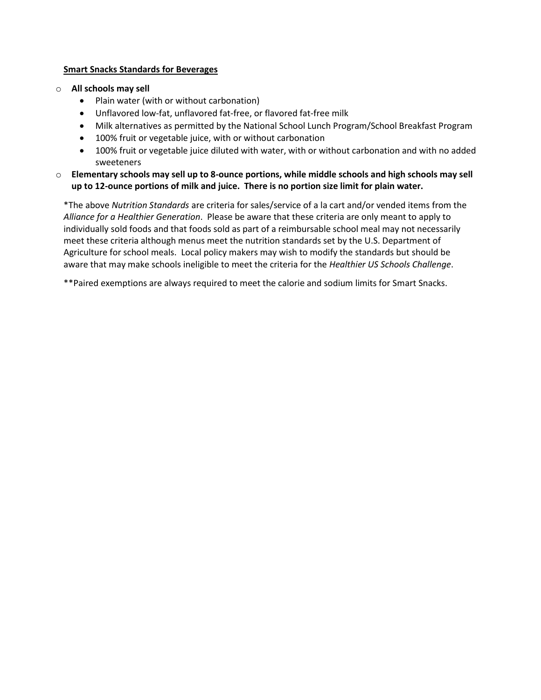### **Smart Snacks Standards for Beverages**

### o **All schools may sell**

- Plain water (with or without carbonation)
- Unflavored low-fat, unflavored fat-free, or flavored fat-free milk
- Milk alternatives as permitted by the National School Lunch Program/School Breakfast Program
- 100% fruit or vegetable juice, with or without carbonation
- 100% fruit or vegetable juice diluted with water, with or without carbonation and with no added sweeteners
- o **Elementary schools may sell up to 8-ounce portions, while middle schools and high schools may sell up to 12-ounce portions of milk and juice. There is no portion size limit for plain water.**

\*The above *Nutrition Standards* are criteria for sales/service of a la cart and/or vended items from the *Alliance for a Healthier Generation*. Please be aware that these criteria are only meant to apply to individually sold foods and that foods sold as part of a reimbursable school meal may not necessarily meet these criteria although menus meet the nutrition standards set by the U.S. Department of Agriculture for school meals. Local policy makers may wish to modify the standards but should be aware that may make schools ineligible to meet the criteria for the *Healthier US Schools Challenge*.

\*\*Paired exemptions are always required to meet the calorie and sodium limits for Smart Snacks.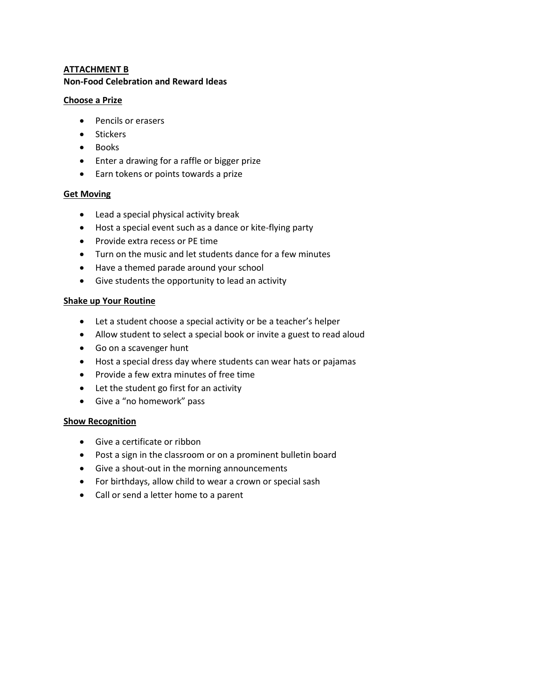# **ATTACHMENT B**

### **Non-Food Celebration and Reward Ideas**

## **Choose a Prize**

- Pencils or erasers
- Stickers
- Books
- Enter a drawing for a raffle or bigger prize
- Earn tokens or points towards a prize

### **Get Moving**

- Lead a special physical activity break
- Host a special event such as a dance or kite-flying party
- Provide extra recess or PE time
- Turn on the music and let students dance for a few minutes
- Have a themed parade around your school
- Give students the opportunity to lead an activity

## **Shake up Your Routine**

- Let a student choose a special activity or be a teacher's helper
- Allow student to select a special book or invite a guest to read aloud
- Go on a scavenger hunt
- Host a special dress day where students can wear hats or pajamas
- Provide a few extra minutes of free time
- Let the student go first for an activity
- Give a "no homework" pass

## **Show Recognition**

- Give a certificate or ribbon
- Post a sign in the classroom or on a prominent bulletin board
- Give a shout-out in the morning announcements
- For birthdays, allow child to wear a crown or special sash
- Call or send a letter home to a parent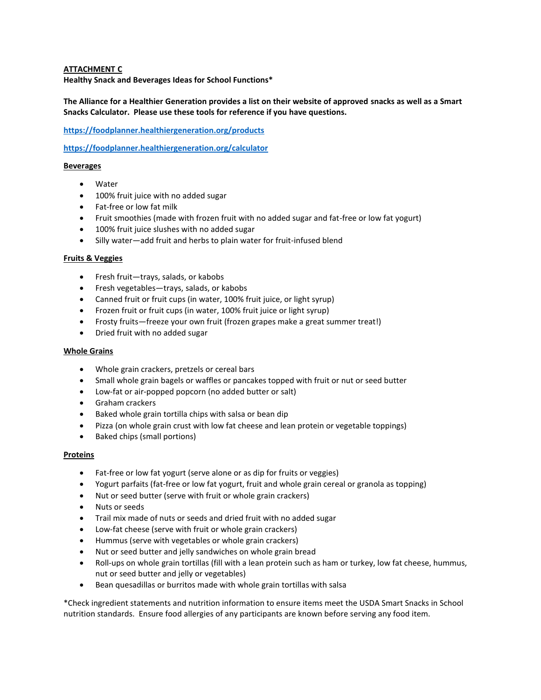#### **ATTACHMENT C**

**Healthy Snack and Beverages Ideas for School Functions\***

#### **The Alliance for a Healthier Generation provides a list on their website of approved snacks as well as a Smart Snacks Calculator. Please use these tools for reference if you have questions.**

**<https://foodplanner.healthiergeneration.org/products>**

**<https://foodplanner.healthiergeneration.org/calculator>**

#### **Beverages**

- Water
- 100% fruit juice with no added sugar
- Fat-free or low fat milk
- Fruit smoothies (made with frozen fruit with no added sugar and fat-free or low fat yogurt)
- 100% fruit juice slushes with no added sugar
- Silly water—add fruit and herbs to plain water for fruit-infused blend

#### **Fruits & Veggies**

- Fresh fruit—trays, salads, or kabobs
- Fresh vegetables—trays, salads, or kabobs
- Canned fruit or fruit cups (in water, 100% fruit juice, or light syrup)
- Frozen fruit or fruit cups (in water, 100% fruit juice or light syrup)
- Frosty fruits—freeze your own fruit (frozen grapes make a great summer treat!)
- Dried fruit with no added sugar

#### **Whole Grains**

- Whole grain crackers, pretzels or cereal bars
- Small whole grain bagels or waffles or pancakes topped with fruit or nut or seed butter
- Low-fat or air-popped popcorn (no added butter or salt)
- Graham crackers
- Baked whole grain tortilla chips with salsa or bean dip
- Pizza (on whole grain crust with low fat cheese and lean protein or vegetable toppings)
- Baked chips (small portions)

#### **Proteins**

- Fat-free or low fat yogurt (serve alone or as dip for fruits or veggies)
- Yogurt parfaits (fat-free or low fat yogurt, fruit and whole grain cereal or granola as topping)
- Nut or seed butter (serve with fruit or whole grain crackers)
- Nuts or seeds
- Trail mix made of nuts or seeds and dried fruit with no added sugar
- Low-fat cheese (serve with fruit or whole grain crackers)
- Hummus (serve with vegetables or whole grain crackers)
- Nut or seed butter and jelly sandwiches on whole grain bread
- Roll-ups on whole grain tortillas (fill with a lean protein such as ham or turkey, low fat cheese, hummus, nut or seed butter and jelly or vegetables)
- Bean quesadillas or burritos made with whole grain tortillas with salsa

\*Check ingredient statements and nutrition information to ensure items meet the USDA Smart Snacks in School nutrition standards. Ensure food allergies of any participants are known before serving any food item.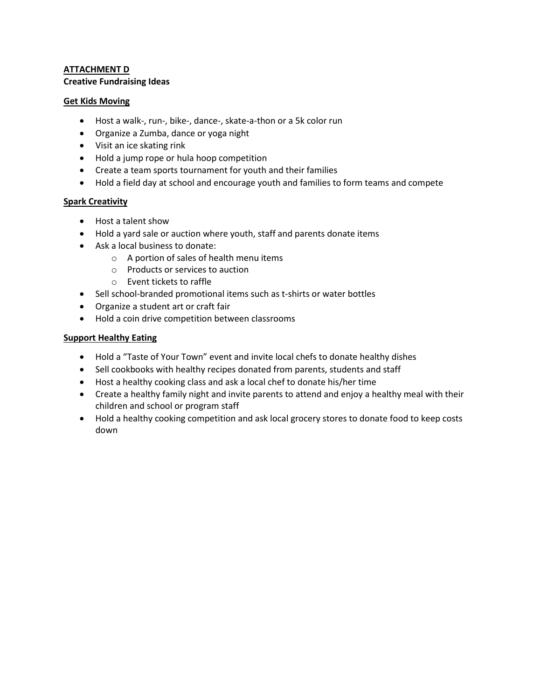## **ATTACHMENT D Creative Fundraising Ideas**

## **Get Kids Moving**

- Host a walk-, run-, bike-, dance-, skate-a-thon or a 5k color run
- Organize a Zumba, dance or yoga night
- Visit an ice skating rink
- Hold a jump rope or hula hoop competition
- Create a team sports tournament for youth and their families
- Hold a field day at school and encourage youth and families to form teams and compete

# **Spark Creativity**

- Host a talent show
- Hold a yard sale or auction where youth, staff and parents donate items
- Ask a local business to donate:
	- o A portion of sales of health menu items
	- o Products or services to auction
	- o Event tickets to raffle
- Sell school-branded promotional items such as t-shirts or water bottles
- Organize a student art or craft fair
- Hold a coin drive competition between classrooms

# **Support Healthy Eating**

- Hold a "Taste of Your Town" event and invite local chefs to donate healthy dishes
- Sell cookbooks with healthy recipes donated from parents, students and staff
- Host a healthy cooking class and ask a local chef to donate his/her time
- Create a healthy family night and invite parents to attend and enjoy a healthy meal with their children and school or program staff
- Hold a healthy cooking competition and ask local grocery stores to donate food to keep costs down